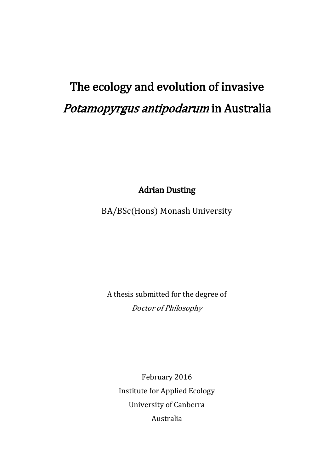# The ecology and evolution of invasive Potamopyrgus antipodarum in Australia

Adrian Dusting

BA/BSc(Hons) Monash University

A thesis submitted for the degree of Doctor of Philosophy

February 2016 Institute for Applied Ecology University of Canberra Australia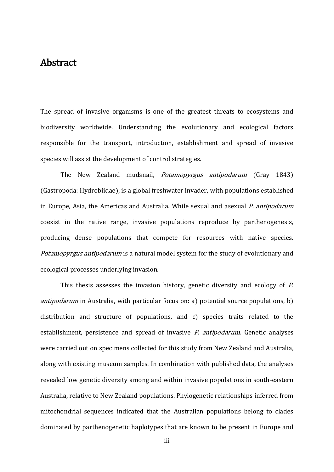### <span id="page-1-0"></span>Abstract

The spread of invasive organisms is one of the greatest threats to ecosystems and biodiversity worldwide. Understanding the evolutionary and ecological factors responsible for the transport, introduction, establishment and spread of invasive species will assist the development of control strategies.

The New Zealand mudsnail, Potamopyrgus antipodarum (Gray 1843) (Gastropoda: Hydrobiidae), is a global freshwater invader, with populations established in Europe, Asia, the Americas and Australia. While sexual and asexual P. antipodarum coexist in the native range, invasive populations reproduce by parthenogenesis, producing dense populations that compete for resources with native species. Potamopyrgus antipodarum is a natural model system for the study of evolutionary and ecological processes underlying invasion.

This thesis assesses the invasion history, genetic diversity and ecology of P. antipodarum in Australia, with particular focus on: a) potential source populations, b) distribution and structure of populations, and c) species traits related to the establishment, persistence and spread of invasive *P. antipodarum*. Genetic analyses were carried out on specimens collected for this study from New Zealand and Australia, along with existing museum samples. In combination with published data, the analyses revealed low genetic diversity among and within invasive populations in south-eastern Australia, relative to New Zealand populations. Phylogenetic relationships inferred from mitochondrial sequences indicated that the Australian populations belong to clades dominated by parthenogenetic haplotypes that are known to be present in Europe and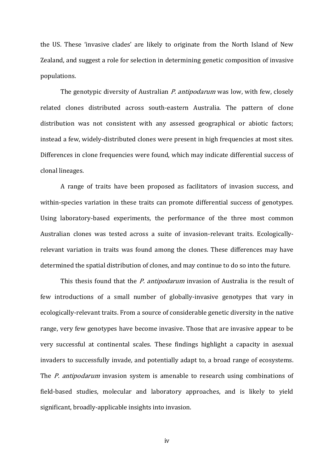the US. These 'invasive clades' are likely to originate from the North Island of New Zealand, and suggest a role for selection in determining genetic composition of invasive populations.

The genotypic diversity of Australian *P. antipodarum* was low, with few, closely related clones distributed across south-eastern Australia. The pattern of clone distribution was not consistent with any assessed geographical or abiotic factors; instead a few, widely-distributed clones were present in high frequencies at most sites. Differences in clone frequencies were found, which may indicate differential success of clonal lineages.

A range of traits have been proposed as facilitators of invasion success, and within-species variation in these traits can promote differential success of genotypes. Using laboratory-based experiments, the performance of the three most common Australian clones was tested across a suite of invasion-relevant traits. Ecologicallyrelevant variation in traits was found among the clones. These differences may have determined the spatial distribution of clones, and may continue to do so into the future.

This thesis found that the *P. antipodarum* invasion of Australia is the result of few introductions of a small number of globally-invasive genotypes that vary in ecologically-relevant traits. From a source of considerable genetic diversity in the native range, very few genotypes have become invasive. Those that are invasive appear to be very successful at continental scales. These findings highlight a capacity in asexual invaders to successfully invade, and potentially adapt to, a broad range of ecosystems. The *P. antipodarum* invasion system is amenable to research using combinations of field-based studies, molecular and laboratory approaches, and is likely to yield significant, broadly-applicable insights into invasion.

iv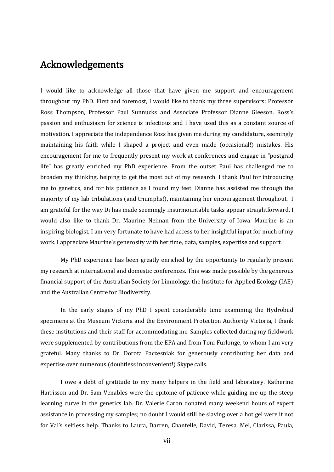### <span id="page-3-0"></span>Acknowledgements

I would like to acknowledge all those that have given me support and encouragement throughout my PhD. First and foremost, I would like to thank my three supervisors: Professor Ross Thompson, Professor Paul Sunnucks and Associate Professor Dianne Gleeson. Ross's passion and enthusiasm for science is infectious and I have used this as a constant source of motivation. I appreciate the independence Ross has given me during my candidature, seemingly maintaining his faith while I shaped a project and even made (occasional!) mistakes. His encouragement for me to frequently present my work at conferences and engage in "postgrad life" has greatly enriched my PhD experience. From the outset Paul has challenged me to broaden my thinking, helping to get the most out of my research. I thank Paul for introducing me to genetics, and for his patience as I found my feet. Dianne has assisted me through the majority of my lab tribulations (and triumphs!), maintaining her encouragement throughout. I am grateful for the way Di has made seemingly insurmountable tasks appear straightforward. I would also like to thank Dr. Maurine Neiman from the University of Iowa. Maurine is an inspiring biologist, I am very fortunate to have had access to her insightful input for much of my work. I appreciate Maurine's generosity with her time, data, samples, expertise and support.

My PhD experience has been greatly enriched by the opportunity to regularly present my research at international and domestic conferences. This was made possible by the generous financial support of the Australian Society for Limnology, the Institute for Applied Ecology (IAE) and the Australian Centre for Biodiversity.

In the early stages of my PhD I spent considerable time examining the Hydrobiid specimens at the Museum Victoria and the Environment Protection Authority Victoria, I thank these institutions and their staff for accommodating me. Samples collected during my fieldwork were supplemented by contributions from the EPA and from Toni Furlonge, to whom I am very grateful. Many thanks to Dr. Dorota Paczesniak for generously contributing her data and expertise over numerous (doubtless inconvenient!) Skype calls.

I owe a debt of gratitude to my many helpers in the field and laboratory. Katherine Harrisson and Dr. Sam Venables were the epitome of patience while guiding me up the steep learning curve in the genetics lab. Dr. Valerie Caron donated many weekend hours of expert assistance in processing my samples; no doubt I would still be slaving over a hot gel were it not for Val's selfless help. Thanks to Laura, Darren, Chantelle, David, Teresa, Mel, Clarissa, Paula,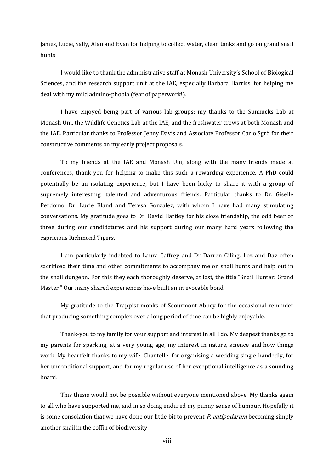James, Lucie, Sally, Alan and Evan for helping to collect water, clean tanks and go on grand snail hunts.

I would like to thank the administrative staff at Monash University's School of Biological Sciences, and the research support unit at the IAE, especially Barbara Harriss, for helping me deal with my mild admino-phobia (fear of paperwork!).

I have enjoyed being part of various lab groups: my thanks to the Sunnucks Lab at Monash Uni, the Wildlife Genetics Lab at the IAE, and the freshwater crews at both Monash and the IAE. Particular thanks to Professor Jenny Davis and Associate Professor Carlo Sgrò for their constructive comments on my early project proposals.

To my friends at the IAE and Monash Uni, along with the many friends made at conferences, thank-you for helping to make this such a rewarding experience. A PhD could potentially be an isolating experience, but I have been lucky to share it with a group of supremely interesting, talented and adventurous friends. Particular thanks to Dr. Giselle Perdomo, Dr. Lucie Bland and Teresa Gonzalez, with whom I have had many stimulating conversations. My gratitude goes to Dr. David Hartley for his close friendship, the odd beer or three during our candidatures and his support during our many hard years following the capricious Richmond Tigers.

I am particularly indebted to Laura Caffrey and Dr Darren Giling. Loz and Daz often sacrificed their time and other commitments to accompany me on snail hunts and help out in the snail dungeon. For this they each thoroughly deserve, at last, the title "Snail Hunter: Grand Master." Our many shared experiences have built an irrevocable bond.

My gratitude to the Trappist monks of Scourmont Abbey for the occasional reminder that producing something complex over a long period of time can be highly enjoyable.

Thank-you to my family for your support and interest in all I do. My deepest thanks go to my parents for sparking, at a very young age, my interest in nature, science and how things work. My heartfelt thanks to my wife, Chantelle, for organising a wedding single-handedly, for her unconditional support, and for my regular use of her exceptional intelligence as a sounding board.

This thesis would not be possible without everyone mentioned above. My thanks again to all who have supported me, and in so doing endured my punny sense of humour. Hopefully it is some consolation that we have done our little bit to prevent *P. antipodarum* becoming simply another snail in the coffin of biodiversity.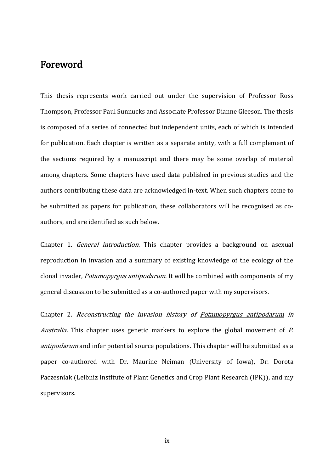### <span id="page-5-0"></span>Foreword

This thesis represents work carried out under the supervision of Professor Ross Thompson, Professor Paul Sunnucks and Associate Professor Dianne Gleeson. The thesis is composed of a series of connected but independent units, each of which is intended for publication. Each chapter is written as a separate entity, with a full complement of the sections required by a manuscript and there may be some overlap of material among chapters. Some chapters have used data published in previous studies and the authors contributing these data are acknowledged in-text. When such chapters come to be submitted as papers for publication, these collaborators will be recognised as coauthors, and are identified as such below.

Chapter 1. General introduction. This chapter provides a background on asexual reproduction in invasion and a summary of existing knowledge of the ecology of the clonal invader, *Potamopyrgus antipodarum*. It will be combined with components of my general discussion to be submitted as a co-authored paper with my supervisors.

Chapter 2. Reconstructing the invasion history of Potamopyrgus antipodarum in Australia. This chapter uses genetic markers to explore the global movement of P. antipodarum and infer potential source populations. This chapter will be submitted as a paper co-authored with Dr. Maurine Neiman (University of Iowa), Dr. Dorota Paczesniak (Leibniz Institute of Plant Genetics and Crop Plant Research (IPK)), and my supervisors.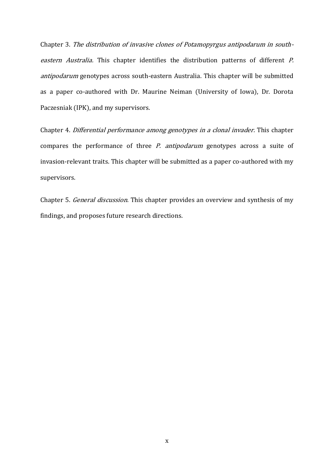Chapter 3. The distribution of invasive clones of Potamopyrgus antipodarum in southeastern Australia. This chapter identifies the distribution patterns of different P. antipodarum genotypes across south-eastern Australia. This chapter will be submitted as a paper co-authored with Dr. Maurine Neiman (University of Iowa), Dr. Dorota Paczesniak (IPK), and my supervisors.

Chapter 4. Differential performance among genotypes in a clonal invader. This chapter compares the performance of three P. antipodarum genotypes across a suite of invasion-relevant traits. This chapter will be submitted as a paper co-authored with my supervisors.

Chapter 5. General discussion. This chapter provides an overview and synthesis of my findings, and proposes future research directions.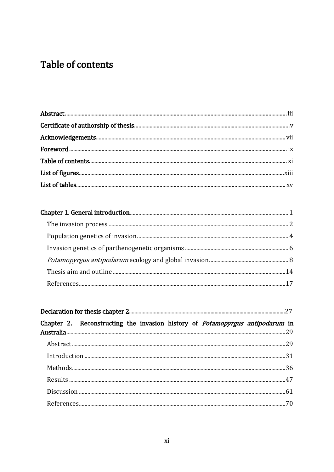## <span id="page-7-0"></span>Table of contents

| Chapter 2. Reconstructing the invasion history of Potamopyrgus antipodarum in |  |
|-------------------------------------------------------------------------------|--|
|                                                                               |  |
|                                                                               |  |
|                                                                               |  |
|                                                                               |  |
|                                                                               |  |
|                                                                               |  |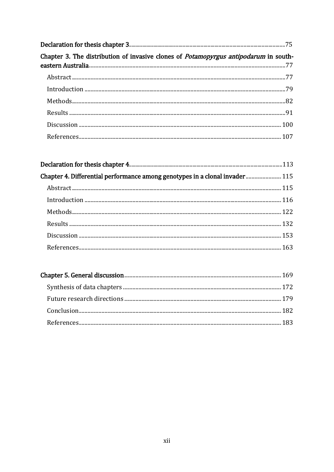| Chapter 3. The distribution of invasive clones of <i>Potamopyrgus antipodarum</i> in south- |  |
|---------------------------------------------------------------------------------------------|--|
|                                                                                             |  |
|                                                                                             |  |
|                                                                                             |  |
|                                                                                             |  |
|                                                                                             |  |
|                                                                                             |  |

| Chapter 4. Differential performance among genotypes in a clonal invader  115 |  |
|------------------------------------------------------------------------------|--|
|                                                                              |  |
|                                                                              |  |
|                                                                              |  |
|                                                                              |  |
|                                                                              |  |
|                                                                              |  |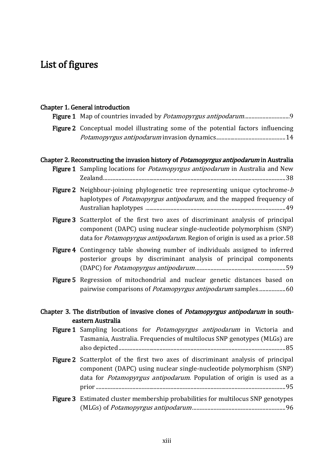## <span id="page-9-0"></span>List of figures

### Chapter 1. General introduction

| unapter 1. General introduction                                                                                                                                                                                                      |
|--------------------------------------------------------------------------------------------------------------------------------------------------------------------------------------------------------------------------------------|
|                                                                                                                                                                                                                                      |
| Figure 2 Conceptual model illustrating some of the potential factors influencing                                                                                                                                                     |
| Chapter 2. Reconstructing the invasion history of Potamopyrgus antipodarum in Australia                                                                                                                                              |
| Figure 1 Sampling locations for <i>Potamopyrgus antipodarum</i> in Australia and New                                                                                                                                                 |
| Figure 2 Neighbour-joining phylogenetic tree representing unique cytochrome-b<br>haplotypes of <i>Potamopyrgus antipodarum</i> , and the mapped frequency of                                                                         |
| Figure 3 Scatterplot of the first two axes of discriminant analysis of principal<br>component (DAPC) using nuclear single-nucleotide polymorphism (SNP)<br>data for Potamopyrgus antipodarum. Region of origin is used as a prior.58 |
| Figure 4 Contingency table showing number of individuals assigned to inferred<br>posterior groups by discriminant analysis of principal components                                                                                   |
| Figure 5 Regression of mitochondrial and nuclear genetic distances based on<br>pairwise comparisons of <i>Potamopyrgus antipodarum</i> samples60                                                                                     |
| Chapter 3. The distribution of invasive clones of Potamopyrgus antipodarum in south-                                                                                                                                                 |
| eastern Australia                                                                                                                                                                                                                    |
| Figure 1 Sampling locations for <i>Potamopyrgus antipodarum</i> in Victoria and<br>Tasmania, Australia. Frequencies of multilocus SNP genotypes (MLGs) are                                                                           |
| Figure 2 Scatterplot of the first two axes of discriminant analysis of principal<br>component (DAPC) using nuclear single-nucleotide polymorphism (SNP)<br>data for Potamopyrgus antipodarum. Population of origin is used as a      |

Figure 3 Estimated cluster membership probabilities for multilocus SNP genotypes (MLGs) of Potamopyrgus antipodarum..................................................................96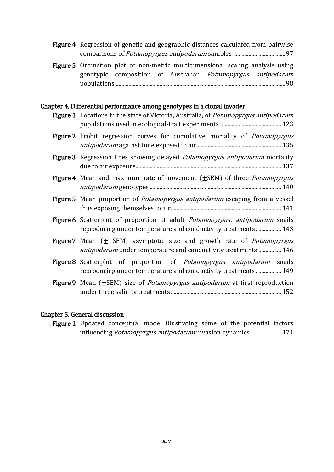| <b>Figure 4</b> Regression of genetic and geographic distances calculated from pairwise |  |  |
|-----------------------------------------------------------------------------------------|--|--|
|                                                                                         |  |  |

Figure 5 Ordination plot of non-metric multidimensional scaling analysis using genotypic composition of Australian Potamopyrgus antipodarum populations ........................................................................................................................98

#### Chapter 4. Differential performance among genotypes in a clonal invader

| <b>Figure 1</b> Locations in the state of Victoria, Australia, of <i>Potamopyrgus antipodarum</i>                                                        |
|----------------------------------------------------------------------------------------------------------------------------------------------------------|
| Figure 2 Probit regression curves for cumulative mortality of <i>Potamopyrgus</i>                                                                        |
| Figure 3 Regression lines showing delayed <i>Potamopyrgus antipodarum</i> mortality                                                                      |
| <b>Figure 4</b> Mean and maximum rate of movement $(\pm$ SEM) of three <i>Potamopyrgus</i>                                                               |
| Figure 5 Mean proportion of <i>Potamopyrgus antipodarum</i> escaping from a vessel                                                                       |
| Figure 6 Scatterplot of proportion of adult <i>Potamopyrgus. antipodarum</i> snails<br>reproducing under temperature and conductivity treatments 143     |
| <b>Figure 7</b> Mean $(\pm$ SEM) asymptotic size and growth rate of <i>Potamopyrgus</i><br>antipodarum under temperature and conductivity treatments 146 |
| Figure 8 Scatterplot of proportion of <i>Potamopyrgus antipodarum</i> snails<br>reproducing under temperature and conductivity treatments 149            |
| <b>Figure 9</b> Mean $(\pm$ SEM) size of <i>Potamopyrgus antipodarum</i> at first reproduction                                                           |

#### Chapter 5. General discussion

Figure 1 Updated conceptual model illustrating some of the potential factors influencing *Potamopyrgus antipodarum* invasion dynamics...................... 171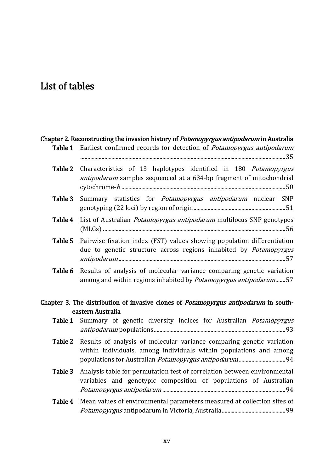## <span id="page-11-0"></span>List of tables

| Table 1 | Chapter 2. Reconstructing the invasion history of <i>Potamopyrgus antipodarum</i> in Australia<br>Earliest confirmed records for detection of <i>Potamopyrgus antipodarum</i> |
|---------|-------------------------------------------------------------------------------------------------------------------------------------------------------------------------------|
| Table 2 | Characteristics of 13 haplotypes identified in 180 Potamopyrgus<br>antipodarum samples sequenced at a 634-bp fragment of mitochondrial                                        |
| Table 3 | Summary statistics for <i>Potamopyrgus antipodarum</i> nuclear SNP                                                                                                            |
| Table 4 | List of Australian <i>Potamopyrgus antipodarum</i> multilocus SNP genotypes                                                                                                   |
| Table 5 | Pairwise fixation index (FST) values showing population differentiation<br>due to genetic structure across regions inhabited by Potamopyrgus                                  |
| Table 6 | Results of analysis of molecular variance comparing genetic variation<br>among and within regions inhabited by Potamopyrgus antipodarum 57                                    |
|         | Chapter 3. The distribution of invasive clones of Potamopyrgus antipodarum in south-                                                                                          |
| Table 1 | eastern Australia<br>Summary of genetic diversity indices for Australian Potamopyrgus                                                                                         |
| Table 2 | Results of analysis of molecular variance comparing genetic variation<br>within individuals, among individuals within populations and among                                   |
| Table 3 | Analysis table for permutation test of correlation between environmental<br>variables and genotypic composition of populations of Australian                                  |
| Table 4 | Mean values of environmental parameters measured at collection sites of                                                                                                       |